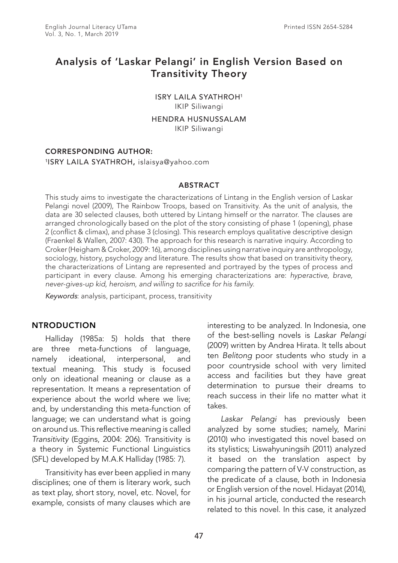# Analysis of 'Laskar Pelangi' in English Version Based on Transitivity Theory

ISRY LAILA SYATHROH1 IKIP Siliwangi

HENDRA HUSNUSSALAM

IKIP Siliwangi

### CORRESPONDING AUTHOR:

#### 1ISRY LAILA SYATHROH, islaisya@yahoo.com

#### ABSTRACT

This study aims to investigate the characterizations of Lintang in the English version of Laskar Pelangi novel (2009), The Rainbow Troops, based on Transitivity. As the unit of analysis, the data are 30 selected clauses, both uttered by Lintang himself or the narrator. The clauses are arranged chronologically based on the plot of the story consisting of phase 1 (opening), phase 2 (conflict & climax), and phase 3 (closing). This research employs qualitative descriptive design (Fraenkel & Wallen, 2007: 430). The approach for this research is narrative inquiry. According to Croker (Heigham & Croker, 2009: 16), among disciplines using narrative inquiry are anthropology, sociology, history, psychology and literature. The results show that based on transitivity theory, the characterizations of Lintang are represented and portrayed by the types of process and participant in every clause. Among his emerging characterizations are: *hyperactive, brave, never-gives-up kid, heroism, and willing to sacrifice for his family.*

*Keywords*: analysis, participant, process, transitivity

## **NTRODUCTION**

Halliday (1985a: 5) holds that there are three meta-functions of language, namely ideational, interpersonal, and textual meaning. This study is focused only on ideational meaning or clause as a representation. It means a representation of experience about the world where we live; and, by understanding this meta-function of language; we can understand what is going on around us. This reflective meaning is called *Transitivity* (Eggins, 2004: 206). Transitivity is a theory in Systemic Functional Linguistics (SFL) developed by M.A.K Halliday (1985: 7).

Transitivity has ever been applied in many disciplines; one of them is literary work, such as text play, short story, novel, etc. Novel, for example, consists of many clauses which are

interesting to be analyzed. In Indonesia, one of the best-selling novels is *Laskar Pelangi* (2009) written by Andrea Hirata. It tells about ten *Belitong* poor students who study in a poor countryside school with very limited access and facilities but they have great determination to pursue their dreams to reach success in their life no matter what it takes.

*Laskar Pelangi* has previously been analyzed by some studies; namely, Marini (2010) who investigated this novel based on its stylistics; Liswahyuningsih (2011) analyzed it based on the translation aspect by comparing the pattern of V-V construction, as the predicate of a clause, both in Indonesia or English version of the novel. Hidayat (2014), in his journal article, conducted the research related to this novel. In this case, it analyzed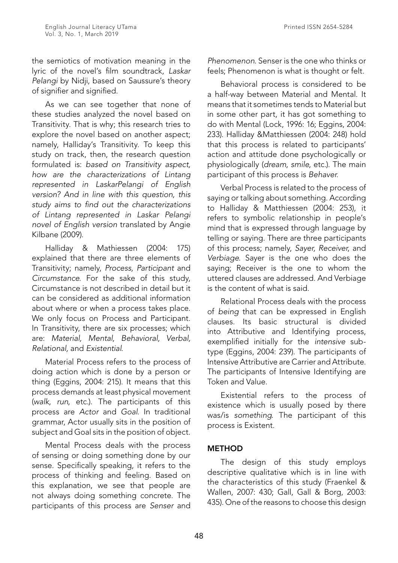the semiotics of motivation meaning in the lyric of the novel's film soundtrack, *Laskar Pelangi* by Nidji, based on Saussure's theory of signifier and signified.

As we can see together that none of these studies analyzed the novel based on Transitivity. That is why; this research tries to explore the novel based on another aspect; namely, Halliday's Transitivity. To keep this study on track, then, the research question formulated is: *based on Transitivity aspect, how are the characterizations of Lintang represented in LaskarPelangi of English version? And in line with this question, this study aims to find out the characterizations of Lintang represented in Laskar Pelangi novel of English version* translated by Angie Kilbane (2009).

Halliday & Mathiessen (2004: 175) explained that there are three elements of Transitivity; namely, *Process, Participant* and *Circumstance*. For the sake of this study, Circumstance is not described in detail but it can be considered as additional information about where or when a process takes place. We only focus on Process and Participant. In Transitivity, there are six processes; which are: *Material, Mental, Behavioral, Verbal, Relational,* and *Existential*.

Material Process refers to the process of doing action which is done by a person or thing (Eggins, 2004: 215). It means that this process demands at least physical movement (*walk*, *run*, etc.). The participants of this process are *Actor* and *Goal*. In traditional grammar, Actor usually sits in the position of subject and Goal sits in the position of object.

Mental Process deals with the process of sensing or doing something done by our sense. Specifically speaking, it refers to the process of thinking and feeling. Based on this explanation, we see that people are not always doing something concrete. The participants of this process are *Senser* and *Phenomenon*. Senser is the one who thinks or feels; Phenomenon is what is thought or felt.

Behavioral process is considered to be a half-way between Material and Mental. It means that it sometimes tends to Material but in some other part, it has got something to do with Mental (Lock, 1996: 16; Eggins, 2004: 233). Halliday &Matthiessen (2004: 248) hold that this process is related to participants' action and attitude done psychologically or physiologically (*dream, smile*, etc.). The main participant of this process is *Behaver*.

Verbal Process is related to the process of saying or talking about something. According to Halliday & Matthiessen (2004: 253), it refers to symbolic relationship in people's mind that is expressed through language by telling or saying. There are three participants of this process; namely, *Sayer, Receiver*, and *Verbiage*. Sayer is the one who does the saying; Receiver is the one to whom the uttered clauses are addressed. And Verbiage is the content of what is said.

Relational Process deals with the process of *being* that can be expressed in English clauses. Its basic structural is divided into Attributive and Identifying process, exemplified initially for the *intensive* subtype (Eggins, 2004: 239). The participants of Intensive Attributive are Carrier and Attribute. The participants of Intensive Identifying are Token and Value.

Existential refers to the process of existence which is usually posed by there was/is *something*. The participant of this process is Existent.

# METHOD

The design of this study employs descriptive qualitative which is in line with the characteristics of this study (Fraenkel & Wallen, 2007: 430; Gall, Gall & Borg, 2003: 435). One of the reasons to choose this design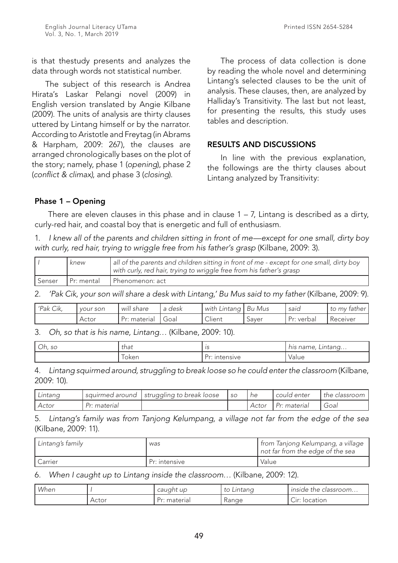is that thestudy presents and analyzes the data through words not statistical number.

The subject of this research is Andrea Hirata's Laskar Pelangi novel (2009) in English version translated by Angie Kilbane (2009). The units of analysis are thirty clauses uttered by Lintang himself or by the narrator. According to Aristotle and Freytag (in Abrams & Harpham, 2009: 267), the clauses are arranged chronologically bases on the plot of the story; namely, phase 1 (*opening*), phase 2 (*conflict & climax)*, and phase 3 (*closing*).

The process of data collection is done by reading the whole novel and determining Lintang's selected clauses to be the unit of analysis. These clauses, then, are analyzed by Halliday's Transitivity. The last but not least, for presenting the results, this study uses tables and description.

## RESULTS AND DISCUSSIONS

In line with the previous explanation, the followings are the thirty clauses about Lintang analyzed by Transitivity:

# Phase 1 – Opening

There are eleven clauses in this phase and in clause  $1 - 7$ , Lintang is described as a dirty, curly-red hair, and coastal boy that is energetic and full of enthusiasm.

1. *I knew all of the parents and children sitting in front of me—except for one small, dirty boy with curly, red hair, trying to wriggle free from his father's grasp* (Kilbane, 2009: 3).

|          | knew       | all of the parents and children sitting in front of me - except for one small, dirty boy<br>with curly, red hair, trying to wriggle free from his father's grasp |
|----------|------------|------------------------------------------------------------------------------------------------------------------------------------------------------------------|
| , Senser | Pr: mental | I Phenomenon: act                                                                                                                                                |

2. *'Pak Cik, your son will share a desk with Lintang,' Bu Mus said to my father* (Kilbane, 2009: 9).

| 'Pak Cik, | vour son | .11<br>will share | a desk | with Lintang     | ' Bu Mus | said       | to my father |
|-----------|----------|-------------------|--------|------------------|----------|------------|--------------|
|           | Actor    | materiai          | oalس   | $\sim$<br>Client | Saver    | Pr: verbal | Receiver     |

3. *Oh, so that is his name, Lintang…* (Kilbane, 2009: 10).

| $\widehat{\phantom{m}}$<br>Oh, so | that<br>$\sim$ $\sim$ | . .<br>ں ا      | ntang<br>name<br>$\sim$ $\sim$ |
|-----------------------------------|-----------------------|-----------------|--------------------------------|
|                                   | oken                  | ۔ ب<br>itensive | Value                          |

4. *Lintang squirmed around, struggling to break loose so he could enter the classroom* (Kilbane, 2009: 10).

| Lintang |              | I squirmed around   struggling to break loose | . SO | ne      | I could enter | the classroom |
|---------|--------------|-----------------------------------------------|------|---------|---------------|---------------|
| Actor   | Pr: material |                                               |      | . Actor | Pr: material  | Goal          |

5. *Lintang's family was from Tanjong Kelumpang, a village not far from the edge of the sea*  (Kilbane, 2009: 11).

| Lintang's family | was           | from Tanjong Kelumpang, a village<br>not far from the edge of the sea |
|------------------|---------------|-----------------------------------------------------------------------|
| Carrier          | Pr: intensive | Value                                                                 |

6. *When I caught up to Lintang inside the classroom…* (Kilbane, 2009: 12).

| When |       | caught up                    | to<br>Lintang | inside the classroom                              |
|------|-------|------------------------------|---------------|---------------------------------------------------|
|      | Actor | <sup>.</sup> material<br>. س | Range         | $\widehat{\phantom{m}}$<br>location<br>$\cup$ Iri |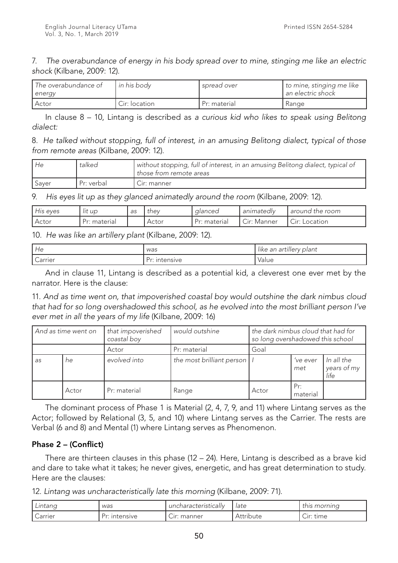7. *The overabundance of energy in his body spread over to mine, stinging me like an electric shock* (Kilbane, 2009: 12).

| . The overabundance of<br>  energy | <b>I</b> in his bodv | I spread over | to mine, stinging me like<br>Lan electric shock l |
|------------------------------------|----------------------|---------------|---------------------------------------------------|
| Actor                              | Cir: location        | Pr: material  | Range                                             |

In clause 8 – 10, Lintang is described as *a curious kid who likes to speak using Belitong dialect:*

8. *He talked without stopping, full of interest, in an amusing Belitong dialect, typical of those from remote areas* (Kilbane, 2009: 12).

| l He  | talked     | without stopping, full of interest, in an amusing Belitong dialect, typical of<br>l those from remote areas |
|-------|------------|-------------------------------------------------------------------------------------------------------------|
| Saver | Pr: verbal | Cir: manner                                                                                                 |

9. *His eyes lit up as they glanced animatedly around the room* (Kilbane, 2009: 12).

| His eyes | lit up       | as | they  | alanced     | animatedly                                              | around the room                               |
|----------|--------------|----|-------|-------------|---------------------------------------------------------|-----------------------------------------------|
| Actor    | Pr: material |    | Actor | Pr: materia | $\widehat{\phantom{m}}$<br>$\cup$ r $\cdot$<br>. Manner | $\widehat{\phantom{a}}$<br>Location<br>' :rاب |

10. *He was like an artillery plant* (Kilbane, 2009: 12).

| He                    | was                       | ' plant<br>like an artillery |
|-----------------------|---------------------------|------------------------------|
| $\sqrt{2}$<br>Carrier | <b>Intensive</b><br>۰۰ سا | Value                        |

And in clause 11, Lintang is described as a potential kid, a cleverest one ever met by the narrator. Here is the clause:

11. *And as time went on, that impoverished coastal boy would outshine the dark nimbus cloud that had for so long overshadowed this school, as he evolved into the most brilliant person I've ever met in all the years of my life* (Kilbane, 2009: 16)

| And as time went on |       | that impoverished<br>coastal boy | would outshine                |       | the dark nimbus cloud that had for<br>so long overshadowed this school |                                   |
|---------------------|-------|----------------------------------|-------------------------------|-------|------------------------------------------------------------------------|-----------------------------------|
|                     |       | Actor                            | Pr: material                  | Goal  |                                                                        |                                   |
| as                  | he    | evolved into                     | the most brilliant person   I |       | 've ever<br>met                                                        | In all the<br>years of my<br>life |
|                     | Actor | Pr: material                     | Range                         | Actor | Pr:<br>material                                                        |                                   |

The dominant process of Phase 1 is Material (2, 4, 7, 9, and 11) where Lintang serves as the Actor; followed by Relational (3, 5, and 10) where Lintang serves as the Carrier. The rests are Verbal (6 and 8) and Mental (1) where Lintang serves as Phenomenon.

# Phase 2 – (Conflict)

There are thirteen clauses in this phase (12 – 24). Here, Lintang is described as a brave kid and dare to take what it takes; he never gives, energetic, and has great determination to study. Here are the clauses:

12. *Lintang was uncharacteristically late this morning* (Kilbane, 2009: 71).

| Lintang | was           | uncharacteristically | -late     | this morning                         |
|---------|---------------|----------------------|-----------|--------------------------------------|
| Carrier | Pr: intensive | r: manner.اب         | Attribute | $\widehat{\phantom{m}}$<br>Cır: tıme |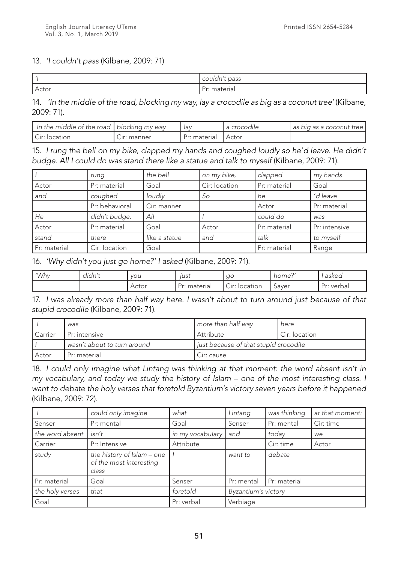# 13. *'I couldn't pass* (Kilbane, 2009: 71)

|       | couldn't pass   |
|-------|-----------------|
| Actor | Dr.<br>materiai |

14. *'In the middle of the road, blocking my way, lay a crocodile as big as a coconut tree'* (Kilbane, 2009: 71).

| In the middle of the road   blocking my way |                   | . Iav        | ' a crocodile | as big as a coconut tree I |
|---------------------------------------------|-------------------|--------------|---------------|----------------------------|
| Cir: location                               | $\cup$ ır: manner | Pr: material | I Actor       |                            |

15. *I rung the bell on my bike, clapped my hands and coughed loudly so he'd leave. He didn't budge. All I could do was stand there like a statue and talk to myself* (Kilbane, 2009: 71).

|              | rung           | the bell      | on my bike,   | clapped      | my hands      |
|--------------|----------------|---------------|---------------|--------------|---------------|
| Actor        | Pr: material   | Goal          | Cir: location | Pr: material | Goal          |
| and          | coughed        | loudly        | So            | he           | 'd leave      |
|              | Pr: behavioral | Cir: manner   |               | Actor        | Pr: material  |
| He           | didn't budge.  | All           |               | could do     | was           |
| Actor        | Pr: material   | Goal          | Actor         | Pr: material | Pr: intensive |
| stand        | there          | like a statue | and           | talk         | to myself     |
| Pr: material | Cir: location  | Goal          |               | Pr: material | Range         |

16. *'Why didn't you just go home?' I asked* (Kilbane, 2009: 71).

| 'Why | $\cdot$<br>dıdn' | <b>VOU</b> | lust          | ac                                                | $\sim$<br>home: | asked      |
|------|------------------|------------|---------------|---------------------------------------------------|-----------------|------------|
|      |                  | Actor      | material<br>. | $\widehat{\phantom{m}}$<br>location<br>$\cup$ Ir: | Saver           | Pr: verbal |

17. *I was already more than half way here. I wasn't about to turn around just because of that stupid crocodile* (Kilbane, 2009: 71).

|                | was                         | more than half way                    | here          |  |
|----------------|-----------------------------|---------------------------------------|---------------|--|
| <b>Carrier</b> | I Pr: intensive             | Attribute                             | Cir: location |  |
|                | wasn't about to turn around | just because of that stupid crocodile |               |  |
| Actor          | Pr: material                | Cir: cause                            |               |  |

18. *I could only imagine what Lintang was thinking at that moment: the word absent isn't in my vocabulary, and today we study the history of Islam – one of the most interesting class. I want to debate the holy verses that foretold Byzantium's victory seven years before it happened*  (Kilbane, 2009: 72).

|                 | could only imagine                                             | what             | Lintang             | was thinking | at that moment: |
|-----------------|----------------------------------------------------------------|------------------|---------------------|--------------|-----------------|
| Senser          | Pr: mental                                                     | Goal             | Senser              | Pr: mental   | Cir: time       |
| the word absent | isn't                                                          | in my vocabulary | and                 | today        | we              |
| Carrier         | Pr: Intensive                                                  | Attribute        |                     | Cir: time    | Actor           |
| study           | the history of Islam - one<br>of the most interesting<br>class |                  | want to             | debate       |                 |
| Pr: material    | Goal                                                           | Senser           | Pr: mental          | Pr: material |                 |
| the holy verses | that                                                           | foretold         | Byzantium's victory |              |                 |
| Goal            |                                                                | Pr: verbal       | Verbiage            |              |                 |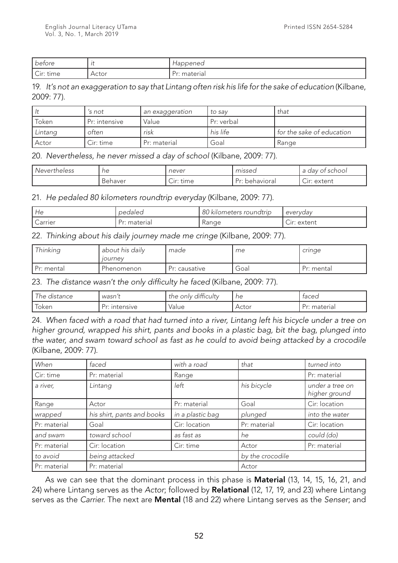| before         |       | tappened |
|----------------|-------|----------|
| C <br>.<br>ume | .ctor | material |

19. *It's not an exaggeration to say that Lintang often risk his life for the sake of education* (Kilbane, 2009: 77).

|         | 's not        | an exaggeration | to sav     | that                      |
|---------|---------------|-----------------|------------|---------------------------|
| Token   | Pr: intensive | Value           | Pr: verbal |                           |
| Lintang | often         | risk            | his life   | for the sake of education |
| Actor   | Cir: time     | Pr: material    | Goal       | Range                     |

### 20. *Nevertheless, he never missed a day of school* (Kilbane, 2009: 77).

| Nevertheless | ne      | . never                | missed            | school<br>, dav                        |
|--------------|---------|------------------------|-------------------|----------------------------------------|
|              | Behaver | $\sim$<br>time<br>Cir: | Pr۰<br>behavioral | $\widehat{\phantom{a}}$<br>Uir: extent |

21. *He pedaled 80 kilometers roundtrip everyday* (Kilbane, 2009: 77).

| l He    | pedaled       | 80 k<br>! kilometers roundtrip | evervdav                                            |
|---------|---------------|--------------------------------|-----------------------------------------------------|
| Carrier | material<br>◡ | Kange                          | $\widehat{\phantom{a}}$<br>extent<br><u>.</u><br>ات |

22. *Thinking about his daily journey made me cringe* (Kilbane, 2009: 77).

| Thinking     | about his daily<br><i><b>IOUrnev</b></i> | made          | me   | cringe     |
|--------------|------------------------------------------|---------------|------|------------|
| I Pr: mental | Phenomenon                               | Pr: causative | Goal | Pr: mental |

23. *The distance wasn't the only difficulty he faced* (Kilbane, 2009: 77).

| he distance                       | ้ wasn <sub>เ</sub>     | $\cdots$<br>difficulty<br>only<br>the | ne    | taced             |
|-----------------------------------|-------------------------|---------------------------------------|-------|-------------------|
| $\overline{\phantom{0}}$<br>loken | <b>Intensive</b><br>ی س | Value                                 | Actor | material<br>. س ب |

24. *When faced with a road that had turned into a river, Lintang left his bicycle under a tree on higher ground, wrapped his shirt, pants and books in a plastic bag, bit the bag, plunged into the water, and swam toward school as fast as he could to avoid being attacked by a crocodile*  (Kilbane, 2009: 77).

| When         | faced                      | with a road      | that             | turned into                      |
|--------------|----------------------------|------------------|------------------|----------------------------------|
| Cir: time    | Pr: material               | Range            |                  | Pr: material                     |
| a river,     | Lintang                    | left             | his bicycle      | under a tree on<br>higher ground |
| Range        | Actor                      | Pr: material     | Goal             | Cir: location                    |
| wrapped      | his shirt, pants and books | in a plastic bag | plunged          | into the water                   |
| Pr: material | Goal                       | Cir: location    | Pr: material     | Cir: location                    |
| and swam     | toward school              | as fast as       | he               | could (do)                       |
| Pr: material | Cir: location<br>Cir: time |                  | Actor            | Pr: material                     |
| to avoid     | being attacked             |                  | by the crocodile |                                  |
| Pr: material | Pr: material               |                  | Actor            |                                  |

As we can see that the dominant process in this phase is **Material** (13, 14, 15, 16, 21, and 24) where Lintang serves as the *Actor*; followed by Relational (12, 17, 19, and 23) where Lintang serves as the *Carrier*. The next are Mental (18 and 22) where Lintang serves as the *Senser*; and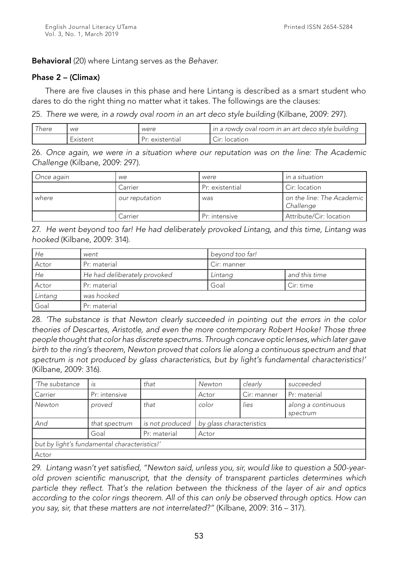Behavioral (20) where Lintang serves as the *Behaver.*

#### Phase 2 – (Climax)

There are five clauses in this phase and here Lintang is described as a smart student who dares to do the right thing no matter what it takes. The followings are the clauses:

25. *There we were, in a rowdy oval room in an art deco style building* (Kilbane, 2009: 297).

| here | we       | were                  | in a rowdy oval room in an art deco style building  |
|------|----------|-----------------------|-----------------------------------------------------|
|      | Existent | existential<br>۔ س سے | $\widehat{\phantom{a}}$<br>$\mathbf{r}$<br>location |

26. *Once again, we were in a situation where our reputation was on the line: The Academic Challenge* (Kilbane, 2009: 297).

| Once again | we             | were            | in a situation                         |
|------------|----------------|-----------------|----------------------------------------|
|            | Carrier        | Pr: existential | Cir: location                          |
| where      | our reputation | was             | on the line: The Academic<br>Challenge |
|            | Carrier        | Pr: intensive   | Attribute/Cir: location                |

27. *He went beyond too far! He had deliberately provoked Lintang, and this time, Lintang was hooked* (Kilbane, 2009: 314).

| He      | went                         | beyond too far! |               |
|---------|------------------------------|-----------------|---------------|
| Actor   | Pr: material                 | Cir: manner     |               |
| He      | He had deliberately provoked | Lintang         | and this time |
| Actor   | Pr: material                 | Goal            | Cir: time     |
| Lintang | was hooked                   |                 |               |
| Goal    | Pr: material                 |                 |               |

28. *'The substance is that Newton clearly succeeded in pointing out the errors in the color theories of Descartes, Aristotle, and even the more contemporary Robert Hooke! Those three people thought that color has discrete spectrums. Through concave optic lenses, which later gave birth to the ring's theorem, Newton proved that colors lie along a continuous spectrum and that spectrum is not produced by glass characteristics, but by light's fundamental characteristics!'* (Kilbane, 2009: 316).

| 'The substance                               | IS            | that            | Newton                   | clearly     | succeeded                      |  |  |
|----------------------------------------------|---------------|-----------------|--------------------------|-------------|--------------------------------|--|--|
| Carrier                                      | Pr: intensive |                 | Actor                    | Cir: manner | Pr: material                   |  |  |
| Newton                                       | proved        | that            | color                    | lies        | along a continuous<br>spectrum |  |  |
| And                                          | that spectrum | is not produced | by glass characteristics |             |                                |  |  |
|                                              | Goal          | Pr: material    | Actor                    |             |                                |  |  |
| but by light's fundamental characteristics!' |               |                 |                          |             |                                |  |  |
| Actor                                        |               |                 |                          |             |                                |  |  |

29. *Lintang wasn't yet satisfied, "Newton said, unless you, sir, would like to question a 500-yearold proven scientific manuscript, that the density of transparent particles determines which particle they reflect. That's the relation between the thickness of the layer of air and optics*  according to the color rings theorem. All of this can only be observed through optics. How can *you say, sir, that these matters are not interrelated?"* (Kilbane, 2009: 316 – 317).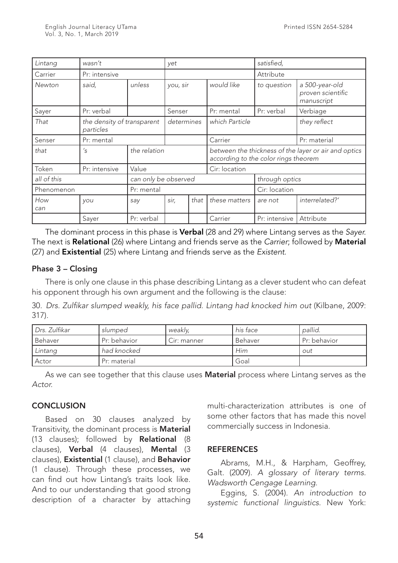| Lintang     | wasn't                                  |                      | yet        |               | satisfied,                                                                                   |               |                                                   |
|-------------|-----------------------------------------|----------------------|------------|---------------|----------------------------------------------------------------------------------------------|---------------|---------------------------------------------------|
| Carrier     | Pr: intensive                           |                      |            |               |                                                                                              | Attribute     |                                                   |
| Newton      | said,                                   | unless               | you, sir   |               | would like                                                                                   | to question   | a 500-year-old<br>proven scientific<br>manuscript |
| Sayer       | Pr: verbal                              |                      | Senser     |               | Pr: mental                                                                                   | Pr: verbal    | Verbiage                                          |
| That        | the density of transparent<br>particles |                      | determines |               | which Particle                                                                               |               | they reflect                                      |
| Senser      | Pr: mental                              |                      |            |               | Carrier                                                                                      |               | Pr: material                                      |
| that        | $\mathcal{S}'$                          | the relation         |            |               | between the thickness of the layer or air and optics<br>according to the color rings theorem |               |                                                   |
| Token       | Pr: intensive                           | Value                |            | Cir: location |                                                                                              |               |                                                   |
| all of this |                                         | can only be observed |            |               | through optics                                                                               |               |                                                   |
| Phenomenon  |                                         | Pr: mental           |            |               | Cir: location                                                                                |               |                                                   |
| How<br>can  | you                                     | say                  | sir,       | that          | these matters                                                                                | are not       | interrelated?'                                    |
|             | Sayer                                   | Pr: verbal           |            |               | Carrier                                                                                      | Pr: intensive | Attribute                                         |

The dominant process in this phase is Verbal (28 and 29) where Lintang serves as the *Sayer*. The next is Relational (26) where Lintang and friends serve as the *Carrier*; followed by Material (27) and Existential (25) where Lintang and friends serve as the *Existent*.

## Phase 3 – Closing

There is only one clause in this phase describing Lintang as a clever student who can defeat his opponent through his own argument and the following is the clause:

30. *Drs. Zulfikar slumped weakly, his face pallid. Lintang had knocked him out* (Kilbane, 2009: 317).

| Drs. Zulfikar | slumped      | weakly,     | his face | pallid.      |
|---------------|--------------|-------------|----------|--------------|
| Behaver       | Pr: behavior | Cir: manner | Behaver  | Pr: behavior |
| Lintang       | had knocked  |             | Him      | out          |
| Actor         | Pr: material |             | Goal     |              |

As we can see together that this clause uses **Material** process where Lintang serves as the *Actor.*

# **CONCLUSION**

Based on 30 clauses analyzed by Transitivity, the dominant process is Material (13 clauses); followed by Relational (8 clauses), Verbal (4 clauses), Mental (3 clauses), Existential (1 clause), and Behavior (1 clause). Through these processes, we can find out how Lintang's traits look like. And to our understanding that good strong description of a character by attaching

multi-characterization attributes is one of some other factors that has made this novel commercially success in Indonesia.

## **REFERENCES**

Abrams, M.H., & Harpham, Geoffrey, Galt. (2009). *A glossary of literary terms. Wadsworth Cengage Learning.*

Eggins, S. (2004). *An introduction to systemic functional linguistics.* New York: